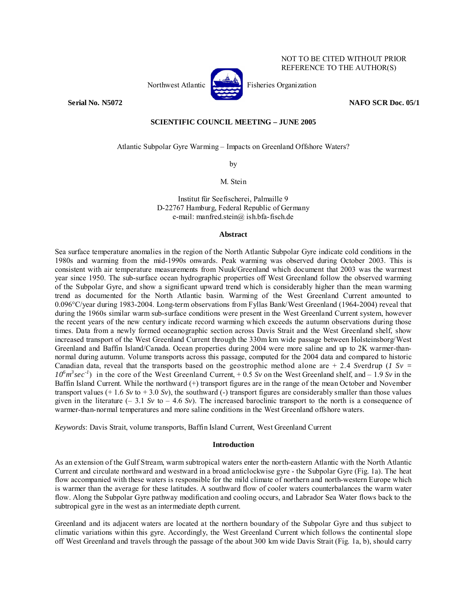

NOT TO BE CITED WITHOUT PRIOR REFERENCE TO THE AUTHOR(S)

## **Serial No. N5072 NAFO SCR Doc. 05/1**

# **SCIENTIFIC COUNCIL MEETING – JUNE 2005**

Atlantic Subpolar Gyre Warming – Impacts on Greenland Offshore Waters?

by

M. Stein

Institut für Seefischerei, Palmaille 9 D-22767 Hamburg, Federal Republic of Germany e-mail: manfred.stein@ ish.bfa-fisch.de

## **Abstract**

Sea surface temperature anomalies in the region of the North Atlantic Subpolar Gyre indicate cold conditions in the 1980s and warming from the mid-1990s onwards. Peak warming was observed during October 2003. This is consistent with air temperature measurements from Nuuk/Greenland which document that 2003 was the warmest year since 1950. The sub-surface ocean hydrographic properties off West Greenland follow the observed warming of the Subpolar Gyre, and show a significant upward trend which is considerably higher than the mean warming trend as documented for the North Atlantic basin. Warming of the West Greenland Current amounted to 0.096°C/year during 1983-2004. Long-term observations from Fyllas Bank/West Greenland (1964-2004) reveal that during the 1960s similar warm sub-surface conditions were present in the West Greenland Current system, however the recent years of the new century indicate record warming which exceeds the autumn observations during those times. Data from a newly formed oceanographic section across Davis Strait and the West Greenland shelf, show increased transport of the West Greenland Current through the 330m km wide passage between Holsteinsborg/West Greenland and Baffin Island/Canada. Ocean properties during 2004 were more saline and up to 2K warmer-thannormal during autumn. Volume transports across this passage, computed for the 2004 data and compared to historic Canadian data, reveal that the transports based on the geostrophic method alone are  $+ 2.4$  *Sverdrup* (*1 Sv* =  $10^6$   $m^3$  sec<sup>-1</sup>) in the core of the West Greenland Current, +0.5 *Sv* on the West Greenland shelf, and – 1.9 *Sv* in the Baffin Island Current. While the northward (+) transport figures are in the range of the mean October and November transport values  $(+ 1.6 Sv to + 3.0 Sv)$ , the southward (-) transport figures are considerably smaller than those values given in the literature  $(-3.1 Sv)$  to  $-4.6 Sv$ ). The increased baroclinic transport to the north is a consequence of warmer-than-normal temperatures and more saline conditions in the West Greenland offshore waters.

*Keywords*: Davis Strait, volume transports, Baffin Island Current, West Greenland Current

#### **Introduction**

As an extension of the Gulf Stream, warm subtropical waters enter the north-eastern Atlantic with the North Atlantic Current and circulate northward and westward in a broad anticlockwise gyre - the Subpolar Gyre (Fig. 1a). The heat flow accompanied with these waters is responsible for the mild climate of northern and north-western Europe which is warmer than the average for these latitudes. A southward flow of cooler waters counterbalances the warm water flow. Along the Subpolar Gyre pathway modification and cooling occurs, and Labrador Sea Water flows back to the subtropical gyre in the west as an intermediate depth current.

Greenland and its adjacent waters are located at the northern boundary of the Subpolar Gyre and thus subject to climatic variations within this gyre. Accordingly, the West Greenland Current which follows the continental slope off West Greenland and travels through the passage of the about 300 km wide Davis Strait (Fig. 1a, b), should carry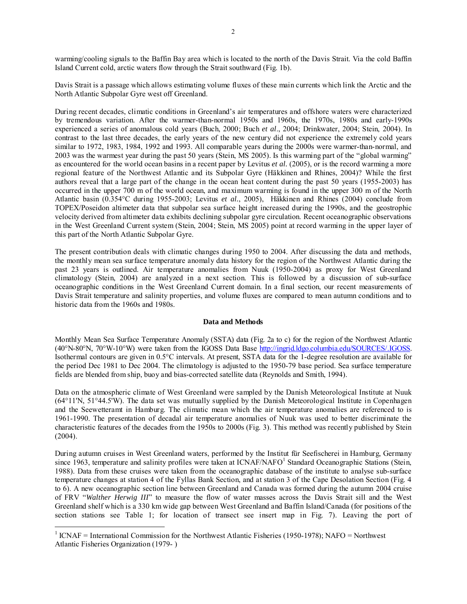warming/cooling signals to the Baffin Bay area which is located to the north of the Davis Strait. Via the cold Baffin Island Current cold, arctic waters flow through the Strait southward (Fig. 1b).

Davis Strait is a passage which allows estimating volume fluxes of these main currents which link the Arctic and the North Atlantic Subpolar Gyre west off Greenland.

During recent decades, climatic conditions in Greenland's air temperatures and offshore waters were characterized by tremendous variation. After the warmer-than-normal 1950s and 1960s, the 1970s, 1980s and early-1990s experienced a series of anomalous cold years (Buch, 2000; Buch *et al*., 2004; Drinkwater, 2004; Stein, 2004). In contrast to the last three decades, the early years of the new century did not experience the extremely cold years similar to 1972, 1983, 1984, 1992 and 1993. All comparable years during the 2000s were warmer-than-normal, and 2003 was the warmest year during the past 50 years (Stein, MS 2005). Is this warming part of the "global warming" as encountered for the world ocean basins in a recent paper by Levitus *et al.* (2005), or is the record warming a more regional feature of the Northwest Atlantic and its Subpolar Gyre (Häkkinen and Rhines, 2004)? While the first authors reveal that a large part of the change in the ocean heat content during the past 50 years (1955-2003) has occurred in the upper 700 m of the world ocean, and maximum warming is found in the upper 300 m of the North Atlantic basin (0.354°C during 1955-2003; Levitus *et al.*, 2005), Häkkinen and Rhines (2004) conclude from TOPEX/Poseidon altimeter data that subpolar sea surface height increased during the 1990s, and the geostrophic velocity derived from altimeter data exhibits declining subpolar gyre circulation. Recent oceanographic observations in the West Greenland Current system (Stein, 2004; Stein, MS 2005) point at record warming in the upper layer of this part of the North Atlantic Subpolar Gyre.

The present contribution deals with climatic changes during 1950 to 2004. After discussing the data and methods, the monthly mean sea surface temperature anomaly data history for the region of the Northwest Atlantic during the past 23 years is outlined. Air temperature anomalies from Nuuk (1950-2004) as proxy for West Greenland climatology (Stein, 2004) are analyzed in a next section. This is followed by a discussion of sub-surface oceanographic conditions in the West Greenland Current domain. In a final section, our recent measurements of Davis Strait temperature and salinity properties, and volume fluxes are compared to mean autumn conditions and to historic data from the 1960s and 1980s.

### **Data and Methods**

Monthly Mean Sea Surface Temperature Anomaly (SSTA) data (Fig. 2a to c) for the region of the Northwest Atlantic (40°N-80°N, 70°W-10°W) were taken from the IGOSS Data Base http://ingrid.ldgo.columbia.edu/SOURCES/.IGOSS. Isothermal contours are given in 0.5°C intervals. At present, SSTA data for the 1-degree resolution are available for the period Dec 1981 to Dec 2004. The climatology is adjusted to the 1950-79 base period. Sea surface temperature fields are blended from ship, buoy and bias-corrected satellite data (Reynolds and Smith, 1994).

Data on the atmospheric climate of West Greenland were sampled by the Danish Meteorological Institute at Nuuk (64°11'N, 51°44.5'W). The data set was mutually supplied by the Danish Meteorological Institute in Copenhagen and the Seewetteramt in Hamburg. The climatic mean which the air temperature anomalies are referenced to is 1961-1990. The presentation of decadal air temperature anomalies of Nuuk was used to better discriminate the characteristic features of the decades from the 1950s to 2000s (Fig. 3). This method was recently published by Stein (2004).

During autumn cruises in West Greenland waters, performed by the Institut für Seefischerei in Hamburg, Germany since 1963, temperature and salinity profiles were taken at ICNAF/NAFO<sup>1</sup> Standard Oceanographic Stations (Stein, 1988). Data from these cruises were taken from the oceanographic database of the institute to analyse sub-surface temperature changes at station 4 of the Fyllas Bank Section, and at station 3 of the Cape Desolation Section (Fig. 4 to 6). A new oceanographic section line between Greenland and Canada was formed during the autumn 2004 cruise of FRV "*Walther Herwig III*" to measure the flow of water masses across the Davis Strait sill and the West Greenland shelf which is a 330 km wide gap between West Greenland and Baffin Island/Canada (for positions of the section stations see Table 1; for location of transect see insert map in Fig. 7). Leaving the port of

 $\overline{a}$ 

<sup>&</sup>lt;sup>1</sup> ICNAF = International Commission for the Northwest Atlantic Fisheries (1950-1978); NAFO = Northwest Atlantic Fisheries Organization (1979- )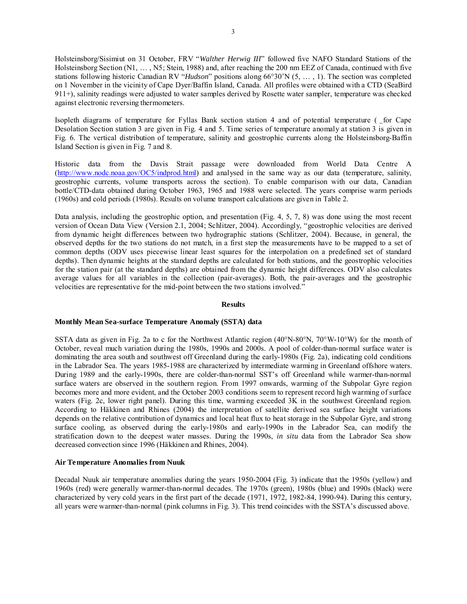Holsteinsborg/Sisimiut on 31 October, FRV "*Walther Herwig III*" followed five NAFO Standard Stations of the Holsteinsborg Section (N1, … , N5; Stein, 1988) and, after reaching the 200 nm EEZ of Canada, continued with five stations following historic Canadian RV "*Hudson*" positions along 66°30'N (5, … , 1). The section was completed on 1 November in the vicinity of Cape Dyer/Baffin Island, Canada. All profiles were obtained with a CTD (SeaBird 911+), salinity readings were adjusted to water samples derived by Rosette water sampler, temperature was checked against electronic reversing thermometers.

Isopleth diagrams of temperature for Fyllas Bank section station  $4$  and of potential temperature (for Cape Desolation Section station 3 are given in Fig. 4 and 5. Time series of temperature anomaly at station 3 is given in Fig. 6. The vertical distribution of temperature, salinity and geostrophic currents along the Holsteinsborg-Baffin Island Section is given in Fig. 7 and 8.

Historic data from the Davis Strait passage were downloaded from World Data Centre A (http://www.nodc.noaa.gov/OC5/indprod.html) and analysed in the same way as our data (temperature, salinity, geostrophic currents, volume transports across the section). To enable comparison with our data, Canadian bottle/CTD-data obtained during October 1963, 1965 and 1988 were selected. The years comprise warm periods (1960s) and cold periods (1980s). Results on volume transport calculations are given in Table 2.

Data analysis, including the geostrophic option, and presentation (Fig. 4, 5, 7, 8) was done using the most recent version of Ocean Data View (Version 2.1, 2004; Schlitzer, 2004). Accordingly, "geostrophic velocities are derived from dynamic height differences between two hydrographic stations (Schlitzer, 2004). Because, in general, the observed depths for the two stations do not match, in a first step the measurements have to be mapped to a set of common depths (ODV uses piecewise linear least squares for the interpolation on a predefined set of standard depths). Then dynamic heights at the standard depths are calculated for both stations, and the geostrophic velocities for the station pair (at the standard depths) are obtained from the dynamic height differences. ODV also calculates average values for all variables in the collection (pair-averages). Both, the pair-averages and the geostrophic velocities are representative for the mid-point between the two stations involved."

### **Results**

### **Monthly Mean Sea-surface Temperature Anomaly (SSTA) data**

SSTA data as given in Fig. 2a to c for the Northwest Atlantic region (40°N-80°N, 70°W-10°W) for the month of October, reveal much variation during the 1980s, 1990s and 2000s. A pool of colder-than-normal surface water is dominating the area south and southwest off Greenland during the early-1980s (Fig. 2a), indicating cold conditions in the Labrador Sea. The years 1985-1988 are characterized by intermediate warming in Greenland offshore waters. During 1989 and the early-1990s, there are colder-than-normal SST's off Greenland while warmer-than-normal surface waters are observed in the southern region. From 1997 onwards, warming of the Subpolar Gyre region becomes more and more evident, and the October 2003 conditions seem to represent record high warming of surface waters (Fig. 2c, lower right panel). During this time, warming exceeded 3K in the southwest Greenland region. According to Häkkinen and Rhines (2004) the interpretation of satellite derived sea surface height variations depends on the relative contribution of dynamics and local heat flux to heat storage in the Subpolar Gyre, and strong surface cooling, as observed during the early-1980s and early-1990s in the Labrador Sea, can modify the stratification down to the deepest water masses. During the 1990s, *in situ* data from the Labrador Sea show decreased convection since 1996 (Häkkinen and Rhines, 2004).

### **Air Temperature Anomalies from Nuuk**

Decadal Nuuk air temperature anomalies during the years 1950-2004 (Fig. 3) indicate that the 1950s (yellow) and 1960s (red) were generally warmer-than-normal decades. The 1970s (green), 1980s (blue) and 1990s (black) were characterized by very cold years in the first part of the decade (1971, 1972, 1982-84, 1990-94). During this century, all years were warmer-than-normal (pink columns in Fig. 3). This trend coincides with the SSTA's discussed above.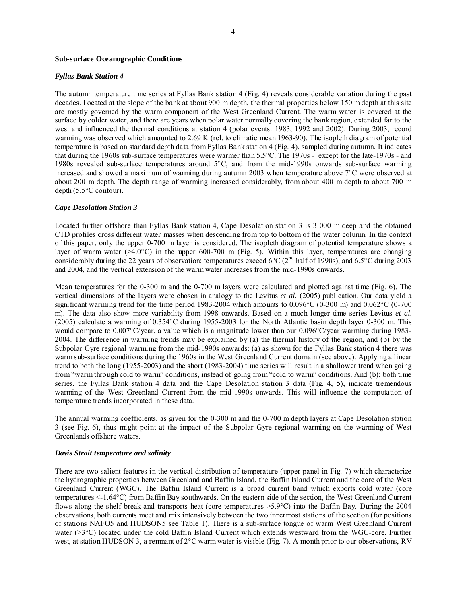#### **Sub-surface Oceanographic Conditions**

#### *Fyllas Bank Station 4*

The autumn temperature time series at Fyllas Bank station 4 (Fig. 4) reveals considerable variation during the past decades. Located at the slope of the bank at about 900 m depth, the thermal properties below 150 m depth at this site are mostly governed by the warm component of the West Greenland Current. The warm water is covered at the surface by colder water, and there are years when polar water normally covering the bank region, extended far to the west and influenced the thermal conditions at station 4 (polar events: 1983, 1992 and 2002). During 2003, record warming was observed which amounted to 2.69 K (rel. to climatic mean 1963-90). The isopleth diagram of potential temperature is based on standard depth data from Fyllas Bank station 4 (Fig. 4), sampled during autumn. It indicates that during the 1960s sub-surface temperatures were warmer than 5.5°C. The 1970s - except for the late-1970s - and 1980s revealed sub-surface temperatures around 5°C, and from the mid-1990s onwards sub-surface warming increased and showed a maximum of warming during autumn 2003 when temperature above 7°C were observed at about 200 m depth. The depth range of warming increased considerably, from about 400 m depth to about 700 m depth (5.5°C contour).

#### *Cape Desolation Station 3*

Located further offshore than Fyllas Bank station 4, Cape Desolation station 3 is 3 000 m deep and the obtained CTD profiles cross different water masses when descending from top to bottom of the water column. In the context of this paper, only the upper 0-700 m layer is considered. The isopleth diagram of potential temperature shows a layer of warm water  $(>4.0^{\circ}C)$  in the upper 600-700 m (Fig. 5). Within this layer, temperatures are changing considerably during the 22 years of observation: temperatures exceed 6°C ( $2<sup>nd</sup>$  half of 1990s), and 6.5°C during 2003 and 2004, and the vertical extension of the warm water increases from the mid-1990s onwards.

Mean temperatures for the 0-300 m and the 0-700 m layers were calculated and plotted against time (Fig. 6). The vertical dimensions of the layers were chosen in analogy to the Levitus *et al.* (2005) publication. Our data yield a significant warming trend for the time period 1983-2004 which amounts to 0.096°C (0-300 m) and 0.062°C (0-700 m). The data also show more variability from 1998 onwards. Based on a much longer time series Levitus *et al.*  (2005) calculate a warming of 0.354°C during 1955-2003 for the North Atlantic basin depth layer 0-300 m. This would compare to 0.007°C/year, a value which is a magnitude lower than our 0.096°C/year warming during 1983-2004. The difference in warming trends may be explained by (a) the thermal history of the region, and (b) by the Subpolar Gyre regional warming from the mid-1990s onwards: (a) as shown for the Fyllas Bank station 4 there was warm sub-surface conditions during the 1960s in the West Greenland Current domain (see above). Applying a linear trend to both the long (1955-2003) and the short (1983-2004) time series will result in a shallower trend when going from "warm through cold to warm" conditions, instead of going from "cold to warm" conditions. And (b): both time series, the Fyllas Bank station 4 data and the Cape Desolation station 3 data (Fig. 4, 5), indicate tremendous warming of the West Greenland Current from the mid-1990s onwards. This will influence the computation of temperature trends incorporated in these data.

The annual warming coefficients, as given for the 0-300 m and the 0-700 m depth layers at Cape Desolation station 3 (see Fig. 6), thus might point at the impact of the Subpolar Gyre regional warming on the warming of West Greenlands offshore waters.

### *Davis Strait temperature and salinity*

There are two salient features in the vertical distribution of temperature (upper panel in Fig. 7) which characterize the hydrographic properties between Greenland and Baffin Island, the Baffin Island Current and the core of the West Greenland Current (WGC). The Baffin Island Current is a broad current band which exports cold water (core temperatures <-1.64°C) from Baffin Bay southwards. On the eastern side of the section, the West Greenland Current flows along the shelf break and transports heat (core temperatures >5.9°C) into the Baffin Bay. During the 2004 observations, both currents meet and mix intensively between the two innermost stations of the section (for positions of stations NAFO5 and HUDSON5 see Table 1). There is a sub-surface tongue of warm West Greenland Current water (>3°C) located under the cold Baffin Island Current which extends westward from the WGC-core. Further west, at station HUDSON 3, a remnant of 2°C warm water is visible (Fig. 7). A month prior to our observations, RV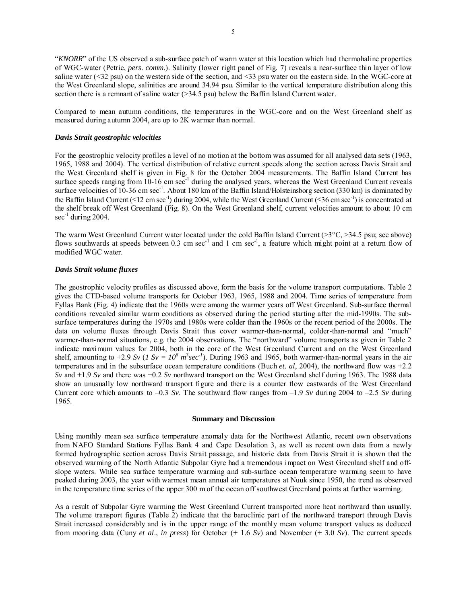"*KNORR*" of the US observed a sub-surface patch of warm water at this location which had thermohaline properties of WGC-water (Petrie, *pers. comm*.). Salinity (lower right panel of Fig. 7) reveals a near-surface thin layer of low saline water (<32 psu) on the western side of the section, and <33 psu water on the eastern side. In the WGC-core at the West Greenland slope, salinities are around 34.94 psu. Similar to the vertical temperature distribution along this section there is a remnant of saline water ( $>$ 34.5 psu) below the Baffin Island Current water.

Compared to mean autumn conditions, the temperatures in the WGC-core and on the West Greenland shelf as measured during autumn 2004, are up to 2K warmer than normal.

### *Davis Strait geostrophic velocities*

For the geostrophic velocity profiles a level of no motion at the bottom was assumed for all analysed data sets (1963, 1965, 1988 and 2004). The vertical distribution of relative current speeds along the section across Davis Strait and the West Greenland shelf is given in Fig. 8 for the October 2004 measurements. The Baffin Island Current has surface speeds ranging from  $10-16$  cm sec<sup>-1</sup> during the analysed years, whereas the West Greenland Current reveals surface velocities of 10-36 cm sec<sup>-1</sup>. About 180 km of the Baffin Island/Holsteinsborg section (330 km) is dominated by the Baffin Island Current ( $\leq 12$  cm sec<sup>-1</sup>) during 2004, while the West Greenland Current ( $\leq 36$  cm sec<sup>-1</sup>) is concentrated at the shelf break off West Greenland (Fig. 8). On the West Greenland shelf, current velocities amount to about 10 cm  $\sec^{-1}$  during 2004.

The warm West Greenland Current water located under the cold Baffin Island Current (>3°C, >34.5 psu; see above) flows southwards at speeds between  $0.3 \text{ cm} \text{ sec}^{-1}$  and 1 cm sec<sup>-1</sup>, a feature which might point at a return flow of modified WGC water.

### *Davis Strait volume fluxes*

The geostrophic velocity profiles as discussed above, form the basis for the volume transport computations. Table 2 gives the CTD-based volume transports for October 1963, 1965, 1988 and 2004. Time series of temperature from Fyllas Bank (Fig. 4) indicate that the 1960s were among the warmer years off West Greenland. Sub-surface thermal conditions revealed similar warm conditions as observed during the period starting after the mid-1990s. The subsurface temperatures during the 1970s and 1980s were colder than the 1960s or the recent period of the 2000s. The data on volume fluxes through Davis Strait thus cover warmer-than-normal, colder-than-normal and "much" warmer-than-normal situations, e.g. the 2004 observations. The "northward" volume transports as given in Table 2 indicate maximum values for 2004, both in the core of the West Greenland Current and on the West Greenland shelf, amounting to  $+2.9$  *Sv* (*1 Sv* =  $10^6$   $m^3$  *sec<sup>-1</sup>*). During 1963 and 1965, both warmer-than-normal years in the air temperatures and in the subsurface ocean temperature conditions (Buch *et. al*, 2004), the northward flow was +2.2 *Sv* and +1.9 *Sv* and there was +0.2 *Sv* northward transport on the West Greenland shelf during 1963. The 1988 data show an unusually low northward transport figure and there is a counter flow eastwards of the West Greenland Current core which amounts to  $-0.3$  *Sv*. The southward flow ranges from  $-1.9$  *Sv* during 2004 to  $-2.5$  *Sv* during 1965.

### **Summary and Discussion**

Using monthly mean sea surface temperature anomaly data for the Northwest Atlantic, recent own observations from NAFO Standard Stations Fyllas Bank 4 and Cape Desolation 3, as well as recent own data from a newly formed hydrographic section across Davis Strait passage, and historic data from Davis Strait it is shown that the observed warming of the North Atlantic Subpolar Gyre had a tremendous impact on West Greenland shelf and offslope waters. While sea surface temperature warming and sub-surface ocean temperature warming seem to have peaked during 2003, the year with warmest mean annual air temperatures at Nuuk since 1950, the trend as observed in the temperature time series of the upper 300 m of the ocean off southwest Greenland points at further warming.

As a result of Subpolar Gyre warming the West Greenland Current transported more heat northward than usually. The volume transport figures (Table 2) indicate that the baroclinic part of the northward transport through Davis Strait increased considerably and is in the upper range of the monthly mean volume transport values as deduced from mooring data (Cuny *et al*., *in press*) for October (+ 1.6 *Sv*) and November (+ 3.0 *Sv*). The current speeds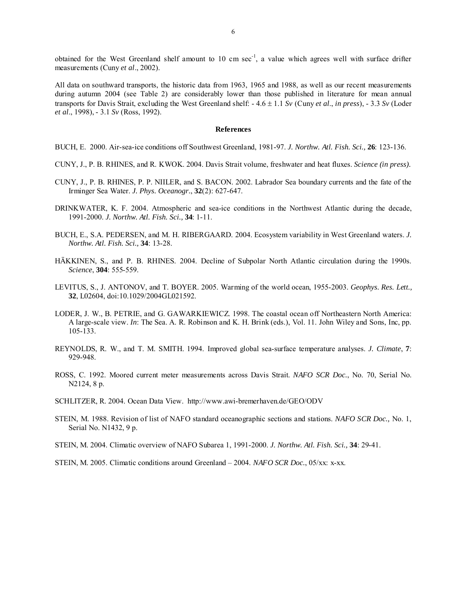obtained for the West Greenland shelf amount to 10 cm  $sec^{-1}$ , a value which agrees well with surface drifter measurements (Cuny *et al*., 2002).

All data on southward transports, the historic data from 1963, 1965 and 1988, as well as our recent measurements during autumn 2004 (see Table 2) are considerably lower than those published in literature for mean annual transports for Davis Strait, excluding the West Greenland shelf: - 4.6 ± 1.1 *Sv* (Cuny *et al*., *in press*), - 3.3 *Sv* (Loder *et al*., 1998), - 3.1 *Sv* (Ross, 1992).

#### **References**

BUCH, E. 2000. Air-sea-ice conditions off Southwest Greenland, 1981-97. *J. Northw. Atl. Fish. Sci.,* **26**: 123-136.

- CUNY, J., P. B. RHINES, and R. KWOK. 2004. Davis Strait volume, freshwater and heat fluxes. *Science (in press).*
- CUNY, J., P. B. RHINES, P. P. NIILER, and S. BACON. 2002. Labrador Sea boundary currents and the fate of the Irminger Sea Water. *J. Phys. Oceanogr.*, **32**(2): 627-647.
- DRINKWATER, K. F. 2004. Atmospheric and sea-ice conditions in the Northwest Atlantic during the decade, 1991-2000. *J. Northw. Atl. Fish. Sci.,* **34**: 1-11.
- BUCH, E., S.A. PEDERSEN, and M. H. RIBERGAARD. 2004. Ecosystem variability in West Greenland waters. *J. Northw. Atl. Fish. Sci.,* **34**: 13-28.
- HÄKKINEN, S., and P. B. RHINES. 2004. Decline of Subpolar North Atlantic circulation during the 1990s. *Science*, **304**: 555-559.
- LEVITUS, S., J. ANTONOV, and T. BOYER. 2005. Warming of the world ocean, 1955-2003. *Geophys. Res. Lett.,*  **32**, L02604, doi:10.1029/2004GL021592.
- LODER, J. W., B. PETRIE, and G. GAWARKIEWICZ. 1998. The coastal ocean off Northeastern North America: A large-scale view. *In*: The Sea. A. R. Robinson and K. H. Brink (eds.), Vol. 11. John Wiley and Sons, Inc, pp. 105-133.
- REYNOLDS, R. W., and T. M. SMITH. 1994. Improved global sea-surface temperature analyses. *J. Climate*, **7**: 929-948.
- ROSS, C. 1992. Moored current meter measurements across Davis Strait. *NAFO SCR Doc.*, No. 70, Serial No. N2124, 8 p.
- SCHLITZER, R. 2004. Ocean Data View. http://www.awi-bremerhaven.de/GEO/ODV
- STEIN, M. 1988. Revision of list of NAFO standard oceanographic sections and stations. *NAFO SCR Doc.,* No. 1, Serial No. N1432, 9 p.
- STEIN, M. 2004. Climatic overview of NAFO Subarea 1, 1991-2000. *J. Northw. Atl. Fish. Sci.,* **34**: 29-41.
- STEIN, M. 2005. Climatic conditions around Greenland 2004. *NAFO SCR Doc.*, 05/xx: x-xx.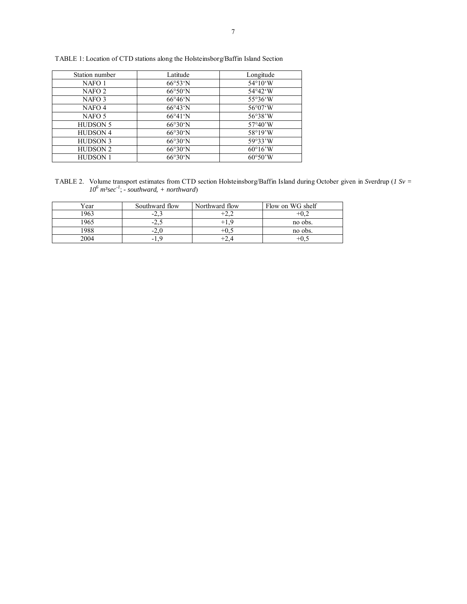| Station number    | Latitude                 | Longitude                |
|-------------------|--------------------------|--------------------------|
| NAFO 1            | $66^{\circ}53^{\circ}$ N | $54^{\circ}10^{\circ}W$  |
| NAFO <sub>2</sub> | $66°50'$ N               | $54^{\circ}42^{\circ}W$  |
| NAFO 3            | $66^{\circ}46^{\circ}$ N | 55°36°W                  |
| NAFO 4            | $66^{\circ}43^{\circ}N$  | $56^{\circ}07^{\circ}W$  |
| NAFO <sub>5</sub> | $66^{\circ}41^{\circ}N$  | 56°38'W                  |
| <b>HUDSON 5</b>   | 66°30'N                  | $57^{\circ}40^{\circ}$ W |
| <b>HUDSON 4</b>   | $66°30'$ N               | $58^{\circ}19^{\prime}W$ |
| <b>HUDSON 3</b>   | 66°30'N                  | 59°33'W                  |
| <b>HUDSON 2</b>   | 66°30'N                  | $60^{\circ}16^{\circ}$ W |
| <b>HUDSON 1</b>   | $66°30'$ N               | $60°50'$ W               |

TABLE 1: Location of CTD stations along the Holsteinsborg/Baffin Island Section

TABLE 2. Volume transport estimates from CTD section Holsteinsborg/Baffin Island during October given in *Sv*erdrup (*1 Sv = 106 m³sec-1*; *- southward, + northward*)

| Year | Southward flow | Northward flow | Flow on WG shelf |
|------|----------------|----------------|------------------|
| 1963 | -4             | $\sim$         |                  |
| 1965 | -4             |                | no obs.          |
| 1988 | $-L.$          | — ⊑∪…          | no obs.          |
| 2004 | -1.,           | $+2$ .         | $+0,$            |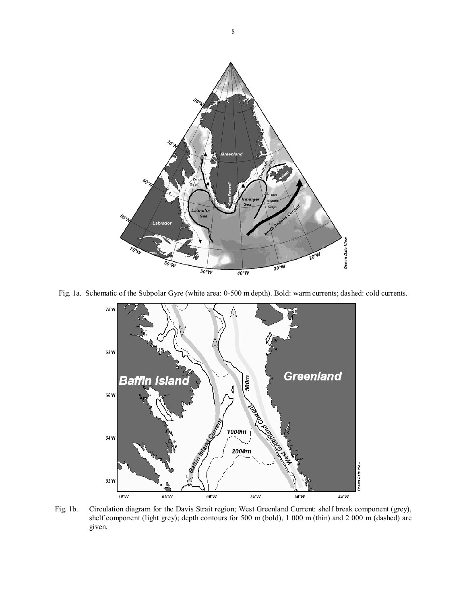

Fig. 1a. Schematic of the Subpolar Gyre (white area: 0-500 m depth). Bold: warm currents; dashed: cold currents.



Fig. 1b. Circulation diagram for the Davis Strait region; West Greenland Current: shelf break component (grey), shelf component (light grey); depth contours for 500 m (bold), 1 000 m (thin) and 2 000 m (dashed) are given.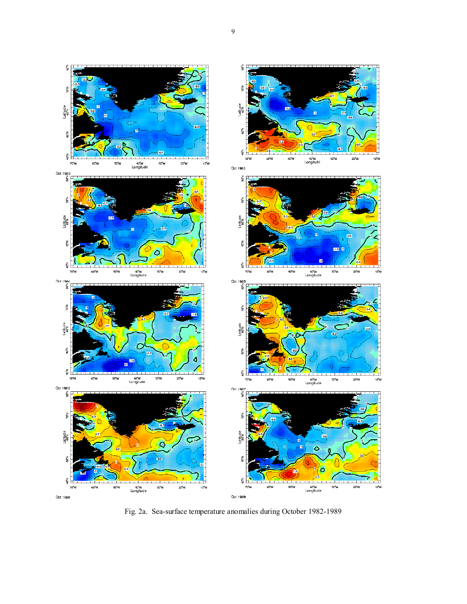

Fig. 2a. Sea-surface temperature anomalies during October 1982-1989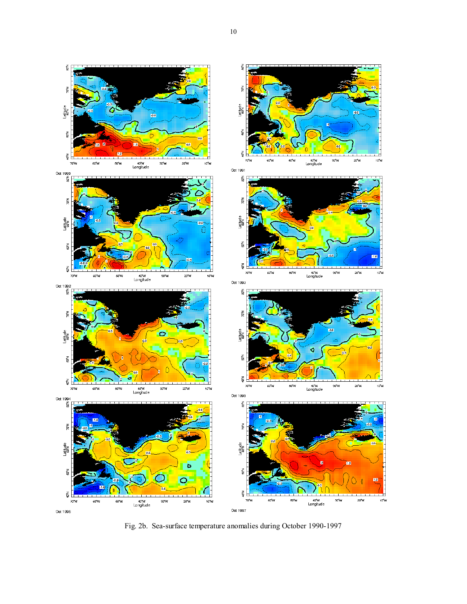

Fig. 2b. Sea-surface temperature anomalies during October 1990-1997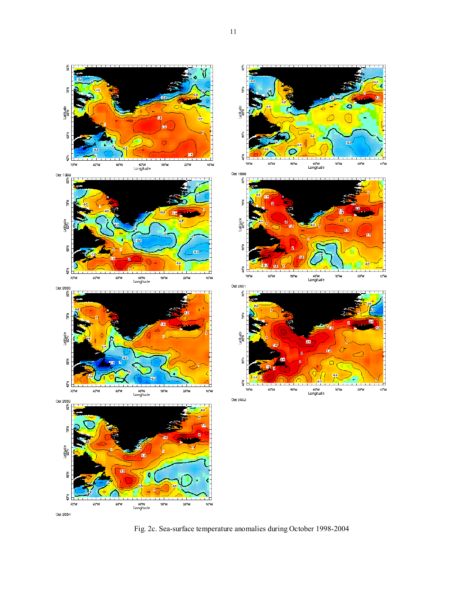

Fig. 2c. Sea-surface temperature anomalies during October 1998-2004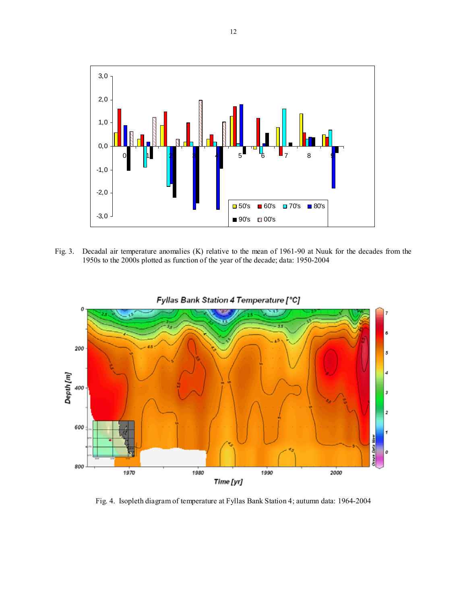

Fig. 3. Decadal air temperature anomalies (K) relative to the mean of 1961-90 at Nuuk for the decades from the 1950s to the 2000s plotted as function of the year of the decade; data: 1950-2004



Fyllas Bank Station 4 Temperature [°C]

Fig. 4. Isopleth diagram of temperature at Fyllas Bank Station 4; autumn data: 1964-2004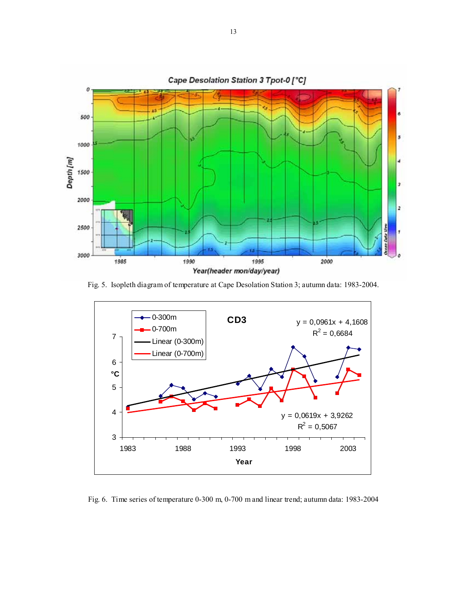

Fig. 5. Isopleth diagram of temperature at Cape Desolation Station 3; autumn data: 1983-2004.



Fig. 6. Time series of temperature 0-300 m, 0-700 m and linear trend; autumn data: 1983-2004